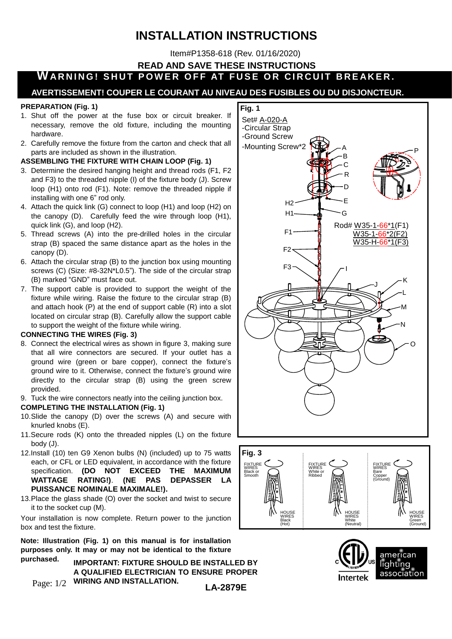# **INSTALLATION INSTRUCTIONS**

Item#P1358-618 (Rev. 01/16/2020)

**READ AND SAVE THESE INSTRUCTIONS**

**WARNING! SHUT POWER OFF AT FUSE OR CIRCUIT BREAKER.** 

### **AVERTISSEMENT! COUPER LE COURANT AU NIVEAU DES FUSIBLES OU DU DISJONCTEUR.**

#### **PREPARATION (Fig. 1)**

- 1. Shut off the power at the fuse box or circuit breaker. If necessary, remove the old fixture, including the mounting hardware.
- 2. Carefully remove the fixture from the carton and check that all parts are included as shown in the illustration.

#### **ASSEMBLING THE FIXTURE WITH CHAIN LOOP (Fig. 1)**

- 3. Determine the desired hanging height and thread rods (F1, F2 and F3) to the threaded nipple (I) of the fixture body (J). Screw loop (H1) onto rod (F1). Note: remove the threaded nipple if installing with one 6" rod only.
- 4. Attach the quick link (G) connect to loop (H1) and loop (H2) on the canopy (D). Carefully feed the wire through loop (H1), quick link (G), and loop (H2).
- 5. Thread screws (A) into the pre-drilled holes in the circular strap (B) spaced the same distance apart as the holes in the canopy (D).
- 6. Attach the circular strap (B) to the junction box using mounting screws (C) (Size: #8-32N\*L0.5"). The side of the circular strap (B) marked "GND" must face out.
- 7. The support cable is provided to support the weight of the fixture while wiring. Raise the fixture to the circular strap (B) and attach hook (P) at the end of support cable (R) into a slot located on circular strap (B). Carefully allow the support cable to support the weight of the fixture while wiring.

#### **CONNECTING THE WIRES (Fig. 3)**

- 8. Connect the electrical wires as shown in figure 3, making sure that all wire connectors are secured. If your outlet has a ground wire (green or bare copper), connect the fixture's ground wire to it. Otherwise, connect the fixture's ground wire directly to the circular strap (B) using the green screw provided.
- 9. Tuck the wire connectors neatly into the ceiling junction box.

#### **COMPLETING THE INSTALLATION (Fig. 1)**

- 10.Slide the canopy (D) over the screws (A) and secure with knurled knobs (E).
- 11.Secure rods (K) onto the threaded nipples (L) on the fixture body (J).
- 12.Install (10) ten G9 Xenon bulbs (N) (included) up to 75 watts each, or CFL or LED equivalent, in accordance with the fixture specification. **(DO NOT EXCEED THE MAXIMUM WATTAGE RATING!)**. **(NE PAS DEPASSER LA PUISSANCE NOMINALE MAXIMALE!).**
- 13.Place the glass shade (O) over the socket and twist to secure it to the socket cup (M).

Your installation is now complete. Return power to the junction box and test the fixture.

**Note: Illustration (Fig. 1) on this manual is for installation purposes only. It may or may not be identical to the fixture purchased.**

Page: 1/2 **IMPORTANT: FIXTURE SHOULD BE INSTALLED BY A QUALIFIED ELECTRICIAN TO ENSURE PROPER WIRING AND INSTALLATION.**







**LA-2879E**